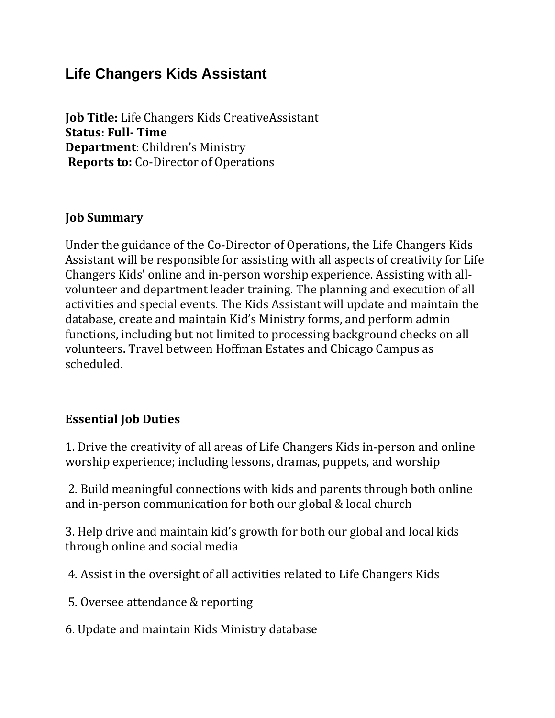## **Life Changers Kids Assistant**

**Job Title:** Life Changers Kids CreativeAssistant **Status: Full- Time Department**: Children's Ministry **Reports to:** Co-Director of Operations

## **Job Summary**

Under the guidance of the Co-Director of Operations, the Life Changers Kids Assistant will be responsible for assisting with all aspects of creativity for Life Changers Kids' online and in-person worship experience. Assisting with allvolunteer and department leader training. The planning and execution of all activities and special events. The Kids Assistant will update and maintain the database, create and maintain Kid's Ministry forms, and perform admin functions, including but not limited to processing background checks on all volunteers. Travel between Hoffman Estates and Chicago Campus as scheduled.

## **Essential Job Duties**

1. Drive the creativity of all areas of Life Changers Kids in-person and online worship experience; including lessons, dramas, puppets, and worship

2. Build meaningful connections with kids and parents through both online and in-person communication for both our global & local church

3. Help drive and maintain kid's growth for both our global and local kids through online and social media

4. Assist in the oversight of all activities related to Life Changers Kids

5. Oversee attendance & reporting

6. Update and maintain Kids Ministry database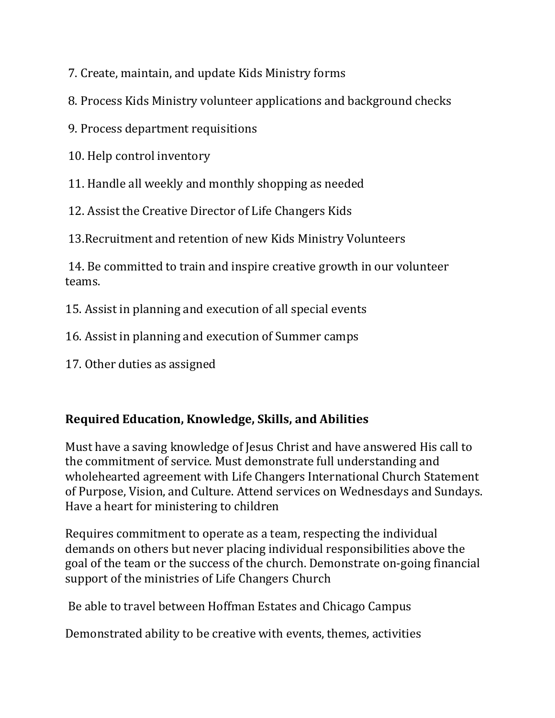7. Create, maintain, and update Kids Ministry forms

8. Process Kids Ministry volunteer applications and background checks

9. Process department requisitions

10. Help control inventory

11. Handle all weekly and monthly shopping as needed

12. Assist the Creative Director of Life Changers Kids

13.Recruitment and retention of new Kids Ministry Volunteers

14. Be committed to train and inspire creative growth in our volunteer teams.

15. Assist in planning and execution of all special events

16. Assist in planning and execution of Summer camps

17. Other duties as assigned

## **Required Education, Knowledge, Skills, and Abilities**

Must have a saving knowledge of Jesus Christ and have answered His call to the commitment of service. Must demonstrate full understanding and wholehearted agreement with Life Changers International Church Statement of Purpose, Vision, and Culture. Attend services on Wednesdays and Sundays. Have a heart for ministering to children

Requires commitment to operate as a team, respecting the individual demands on others but never placing individual responsibilities above the goal of the team or the success of the church. Demonstrate on-going financial support of the ministries of Life Changers Church

Be able to travel between Hoffman Estates and Chicago Campus

Demonstrated ability to be creative with events, themes, activities